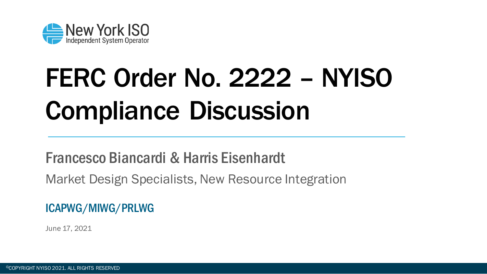

# FERC Order No. 2222 – NYISO Compliance Discussion

#### Francesco Biancardi & Harris Eisenhardt

Market Design Specialists, New Resource Integration

#### ICAPWG/MIWG/PRLWG

June 17, 2021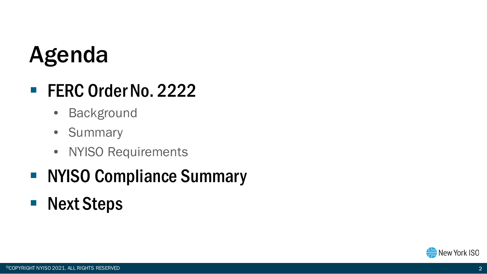### Agenda

### **FERC Order No. 2222**

- Background
- Summary
- NYISO Requirements

#### • NYISO Compliance Summary

**Next Steps** 

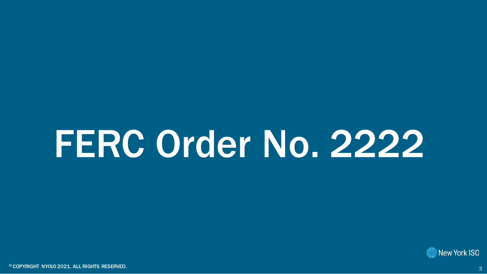# FERC Order No. 2222

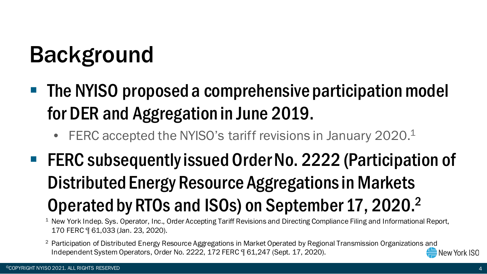### Background

- The NYISO proposed a comprehensive participation model for DER and Aggregation in June 2019.
	- FERC accepted the NYISO's tariff revisions in January 2020. $1$
- FERC subsequently issued Order No. 2222 (Participation of Distributed Energy Resource Aggregations in Markets Operated by RTOs and ISOs) on September 17, 2020.2

<sup>1</sup> New York Indep. Sys. Operator, Inc., Order Accepting Tariff Revisions and Directing Compliance Filing and Informational Report, 170 FERC ¶ 61,033 (Jan. 23, 2020).

<sup>2</sup> Participation of Distributed Energy Resource Aggregations in Market Operated by Regional Transmission Organizations and Independent System Operators, Order No. 2222, 172 FERC ¶ 61,247 (Sept. 17, 2020).New York ISO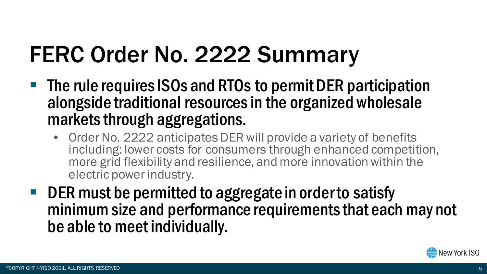## FERC Order No. 2222 Summary

- **The rule requires ISOs and RTOs to permit DER participation** alongside traditional resources in the organized wholesale markets through aggregations.
	- Order No. 2222 anticipates DER will provide a variety of benefits including: lower costs for consumers through enhanced competition, more grid flexibility and resilience, and more innovation within the electric power industry.
- DER must be permitted to aggregate in order to satisfy minimum size and performance requirements that each may not be able to meet individually.

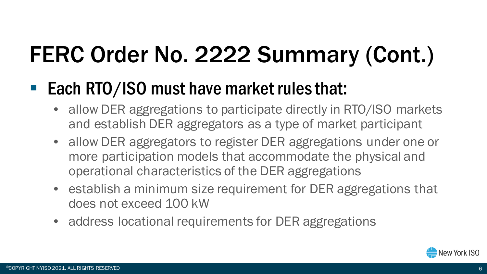## FERC Order No. 2222 Summary (Cont.)

### ■ Each RTO/ISO must have market rules that:

- allow DER aggregations to participate directly in RTO/ISO markets and establish DER aggregators as a type of market participant
- allow DER aggregators to register DER aggregations under one or more participation models that accommodate the physical and operational characteristics of the DER aggregations
- establish a minimum size requirement for DER aggregations that does not exceed 100 kW
- address locational requirements for DER aggregations

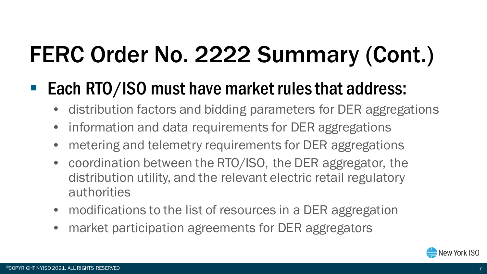## FERC Order No. 2222 Summary (Cont.)

### ■ Each RTO/ISO must have market rules that address:

- distribution factors and bidding parameters for DER aggregations
- information and data requirements for DER aggregations
- metering and telemetry requirements for DER aggregations
- coordination between the RTO/ISO, the DER aggregator, the distribution utility, and the relevant electric retail regulatory authorities
- modifications to the list of resources in a DER aggregation
- market participation agreements for DER aggregators

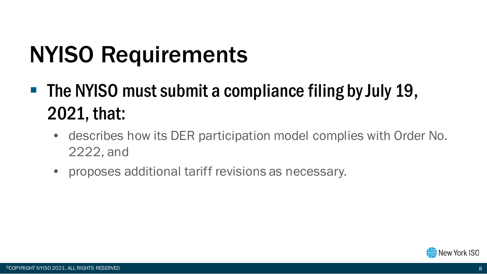## NYISO Requirements

- $\blacksquare$  The NYISO must submit a compliance filing by July 19, 2021, that:
	- describes how its DER participation model complies with Order No. 2222, and
	- proposes additional tariff revisions as necessary.

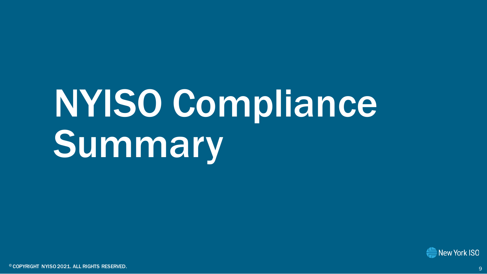# NYISO Compliance Summary

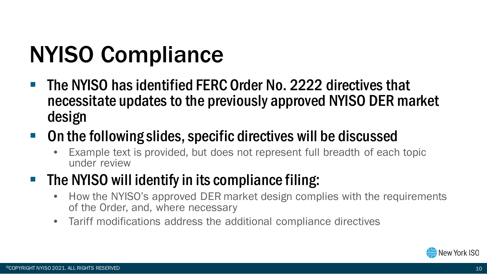## NYISO Compliance

- The NYISO has identified FERC Order No. 2222 directives that necessitate updates to the previously approved NYISO DER market design
- On the following slides, specific directives will be discussed
	- Example text is provided, but does not represent full breadth of each topic under review

#### $\blacksquare$  The NYISO will identify in its compliance filing:

- How the NYISO's approved DER market design complies with the requirements of the Order, and, where necessary
- Tariff modifications address the additional compliance directives

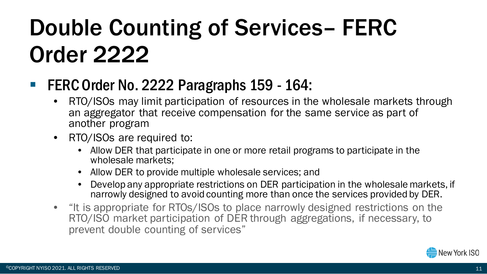### Double Counting of Services– FERC Order 2222

#### FERC Order No. 2222 Paragraphs 159 - 164:

- RTO/ISOs may limit participation of resources in the wholesale markets through an aggregator that receive compensation for the same service as part of another program
- RTO/ISOs are required to:
	- Allow DER that participate in one or more retail programs to participate in the wholesale markets;
	- Allow DER to provide multiple wholesale services; and
	- Develop any appropriate restrictions on DER participation in the wholesale markets, if narrowly designed to avoid counting more than once the services provided by DER.
- "It is appropriate for RTOs/ISOs to place narrowly designed restrictions on the RTO/ISO market participation of DER through aggregations, if necessary, to prevent double counting of services"

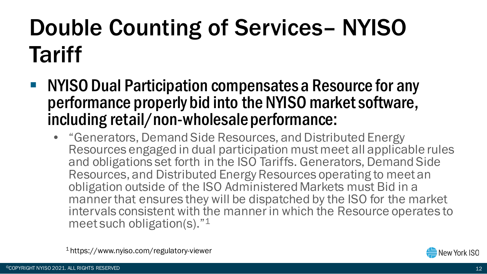## Double Counting of Services– NYISO **Tariff**

- NYISO Dual Participation compensates a Resource for any performance properly bid into the NYISO market software, including retail/non-wholesale performance:
	- "Generators, Demand Side Resources, and Distributed Energy Resources engaged in dual participation must meet all applicable rules and obligations set forth in the ISO Tariffs. Generators, Demand Side Resources, and Distributed Energy Resources operating to meet an obligation outside of the ISO Administered Markets must Bid in a manner that ensures they will be dispatched by the ISO for the market intervals consistent with the manner in which the Resource operates to meet such obligation(s)."1

1 https://www.nyiso.com/regulatory-viewer

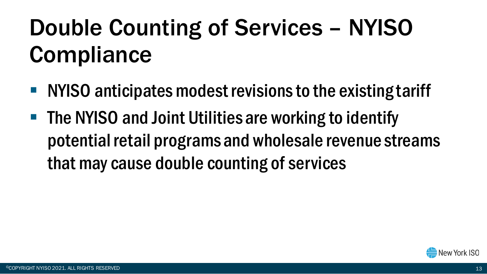## Double Counting of Services – NYISO **Compliance**

- NYISO anticipates modest revisions to the existing tariff
- The NYISO and Joint Utilities are working to identify potential retail programs and wholesale revenue streams that may cause double counting of services

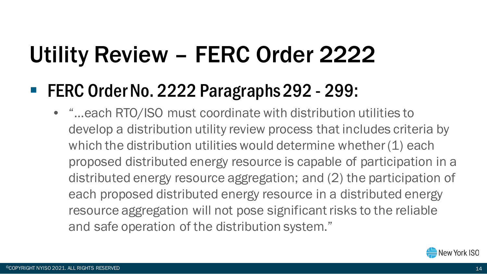### Utility Review – FERC Order 2222

### ■ FERC Order No. 2222 Paragraphs 292 - 299:

• "…each RTO/ISO must coordinate with distribution utilities to develop a distribution utility review process that includes criteria by which the distribution utilities would determine whether (1) each proposed distributed energy resource is capable of participation in a distributed energy resource aggregation; and (2) the participation of each proposed distributed energy resource in a distributed energy resource aggregation will not pose significant risks to the reliable and safe operation of the distribution system."

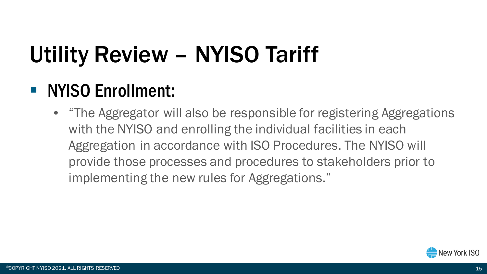## Utility Review – NYISO Tariff

### **NYISO Enrollment:**

• "The Aggregator will also be responsible for registering Aggregations with the NYISO and enrolling the individual facilities in each Aggregation in accordance with ISO Procedures. The NYISO will provide those processes and procedures to stakeholders prior to implementing the new rules for Aggregations."

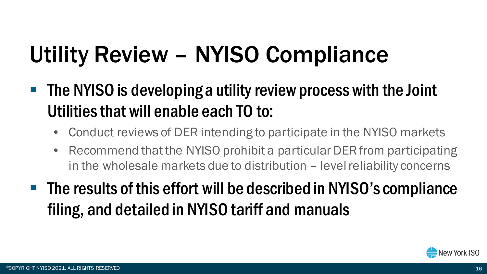## Utility Review – NYISO Compliance

- **The NYISO is developing a utility review process with the Joint** Utilities that will enable each TO to:
	- Conduct reviews of DER intending to participate in the NYISO markets
	- Recommend that the NYISO prohibit a particular DER from participating in the wholesale markets due to distribution – level reliability concerns
- The results of this effort will be described in NYISO's compliance filing, and detailed in NYISO tariff and manuals

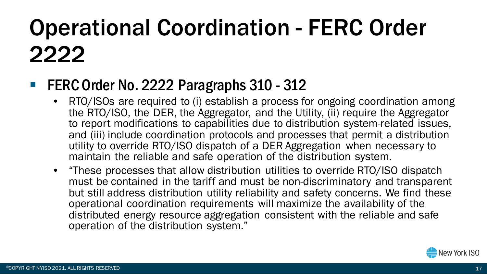## Operational Coordination - FERC Order 2222

#### ■ FERC Order No. 2222 Paragraphs 310 - 312

- RTO/ISOs are required to (i) establish a process for ongoing coordination among the RTO/ISO, the DER, the Aggregator, and the Utility, (ii) require the Aggregator to report modifications to capabilities due to distribution system-related issues, and (iii) include coordination protocols and processes that permit a distribution utility to override RTO/ISO dispatch of a DER Aggregation when necessary to maintain the reliable and safe operation of the distribution system.
- "These processes that allow distribution utilities to override RTO/ISO dispatch must be contained in the tariff and must be non-discriminatory and transparent but still address distribution utility reliability and safety concerns. We find these operational coordination requirements will maximize the availability of the distributed energy resource aggregation consistent with the reliable and safe operation of the distribution system."

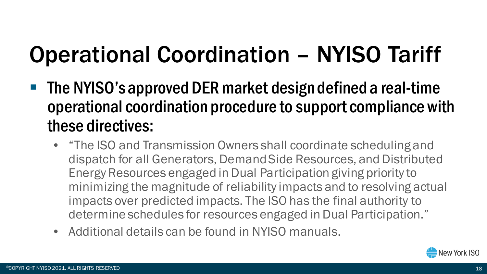### Operational Coordination – NYISO Tariff

- **The NYISO's approved DER market design defined a real-time** operational coordination procedure to support compliance with these directives:
	- "The ISO and Transmission Owners shall coordinate scheduling and dispatch for all Generators, Demand Side Resources, and Distributed Energy Resources engaged in Dual Participation giving priority to minimizing the magnitude of reliability impacts and to resolving actual impacts over predicted impacts. The ISO has the final authority to determine schedules for resources engaged in Dual Participation."
	- Additional details can be found in NYISO manuals.

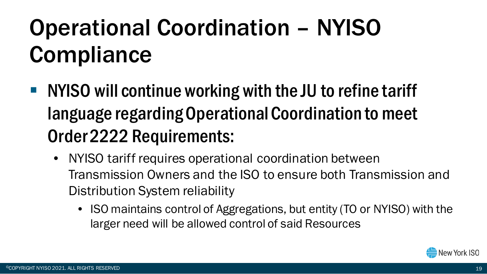## Operational Coordination – NYISO **Compliance**

- NYISO will continue working with the JU to refine tariff language regarding Operational Coordination to meet Order 2222 Requirements:
	- NYISO tariff requires operational coordination between Transmission Owners and the ISO to ensure both Transmission and Distribution System reliability
		- ISO maintains control of Aggregations, but entity (TO or NYISO) with the larger need will be allowed control of said Resources

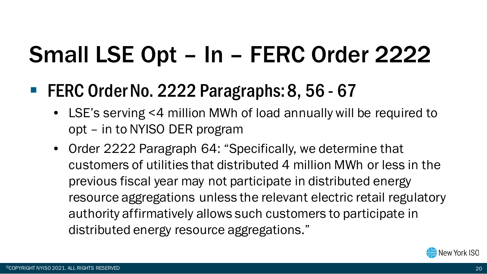### Small LSE Opt – In – FERC Order 2222

### ■ FERC Order No. 2222 Paragraphs: 8, 56 - 67

- LSE's serving <4 million MWh of load annually will be required to opt – in to NYISO DER program
- Order 2222 Paragraph 64: "Specifically, we determine that customers of utilities that distributed 4 million MWh or less in the previous fiscal year may not participate in distributed energy resource aggregations unless the relevant electric retail regulatory authority affirmatively allows such customers to participate in distributed energy resource aggregations."

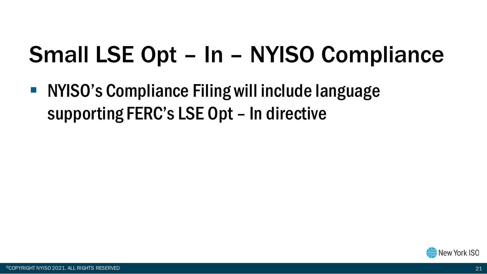### Small LSE Opt – In – NYISO Compliance

**NYISO's Compliance Filing will include language** supporting FERC's LSE Opt – In directive

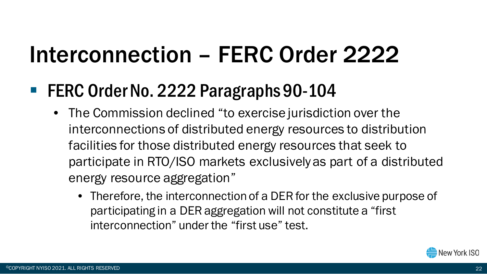### Interconnection – FERC Order 2222

### ■ FERC Order No. 2222 Paragraphs 90-104

- The Commission declined "to exercise jurisdiction over the interconnections of distributed energy resources to distribution facilities for those distributed energy resources that seek to participate in RTO/ISO markets exclusively as part of a distributed energy resource aggregation"
	- Therefore, the interconnection of a DER for the exclusive purpose of participating in a DER aggregation will not constitute a "first interconnection" under the "first use" test.

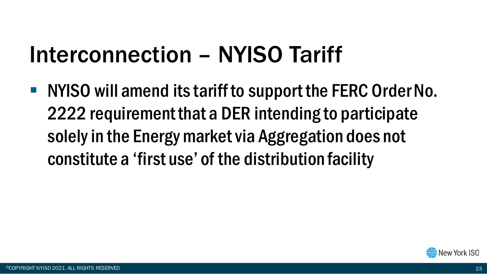### Interconnection – NYISO Tariff

■ NYISO will amend its tariff to support the FERC Order No. 2222 requirement that a DER intending to participate solely in the Energy market via Aggregation does not constitute a 'first use' of the distribution facility

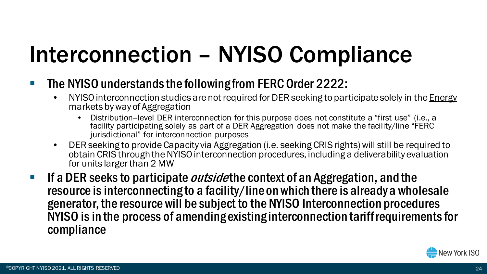### Interconnection – NYISO Compliance

- **The NYISO understands the following from FERC Order 2222:** 
	- NYISO interconnection studies are not required for DER seeking to participate solely in the *Energy* markets by way of Aggregation
		- Distribution--level DER interconnection for this purpose does not constitute a "first use" (i.e., a facility participating solely as part of a DER Aggregation does not make the facility/line "FERC jurisdictional" for interconnection purposes
	- DER seeking to provide Capacity via Aggregation (i.e. seeking CRIS rights) will still be required to obtain CRIS through the NYISO interconnection procedures, including a deliverability evaluation for units larger than 2 MW
- If a DER seeks to participate *outside* the context of an Aggregation, and the resource is interconnecting to a facility/line on which there is already a wholesale generator, the resource will be subject to the NYISO Interconnection procedures NYISO is in the process of amending existing interconnection tariff requirements for compliance

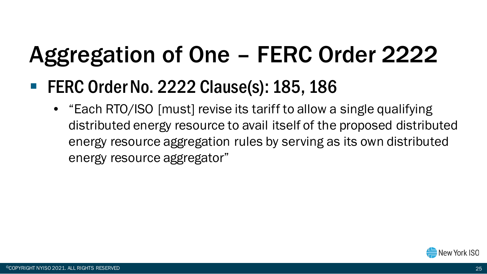## Aggregation of One – FERC Order 2222

### ■ FERC Order No. 2222 Clause(s): 185, 186

• "Each RTO/ISO [must] revise its tariff to allow a single qualifying distributed energy resource to avail itself of the proposed distributed energy resource aggregation rules by serving as its own distributed energy resource aggregator"

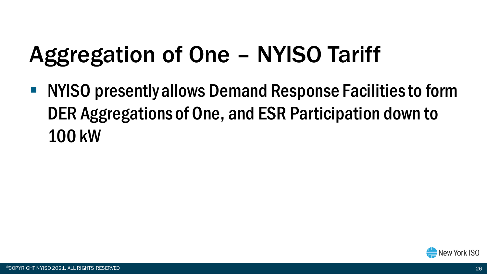### Aggregation of One – NYISO Tariff

■ NYISO presently allows Demand Response Facilities to form DER Aggregations of One, and ESR Participation down to 100 kW

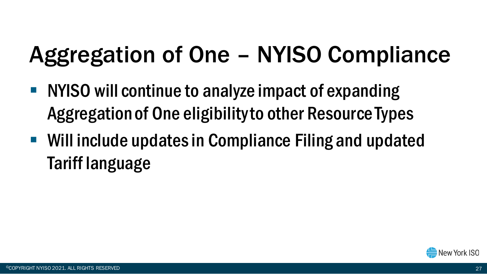### Aggregation of One – NYISO Compliance

- NYISO will continue to analyze impact of expanding Aggregation of One eligibility to other Resource Types
- Will include updates in Compliance Filing and updated Tariff language

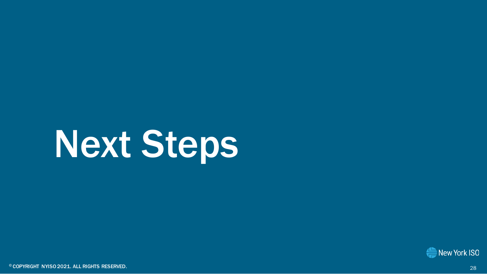# Next Steps

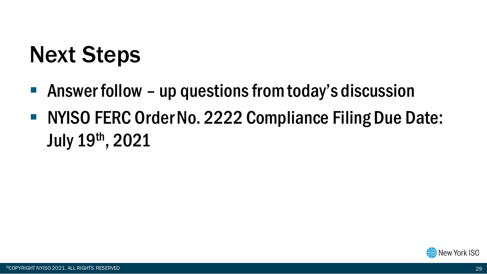### Next Steps

- Answer follow up questions from today's discussion
- NYISO FERC Order No. 2222 Compliance Filing Due Date: July 19th, 2021

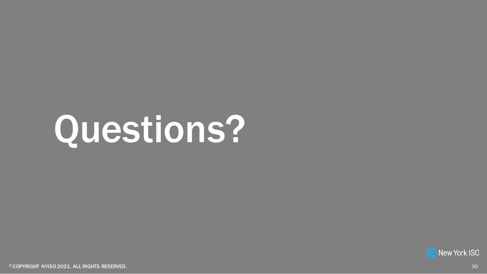# Questions?